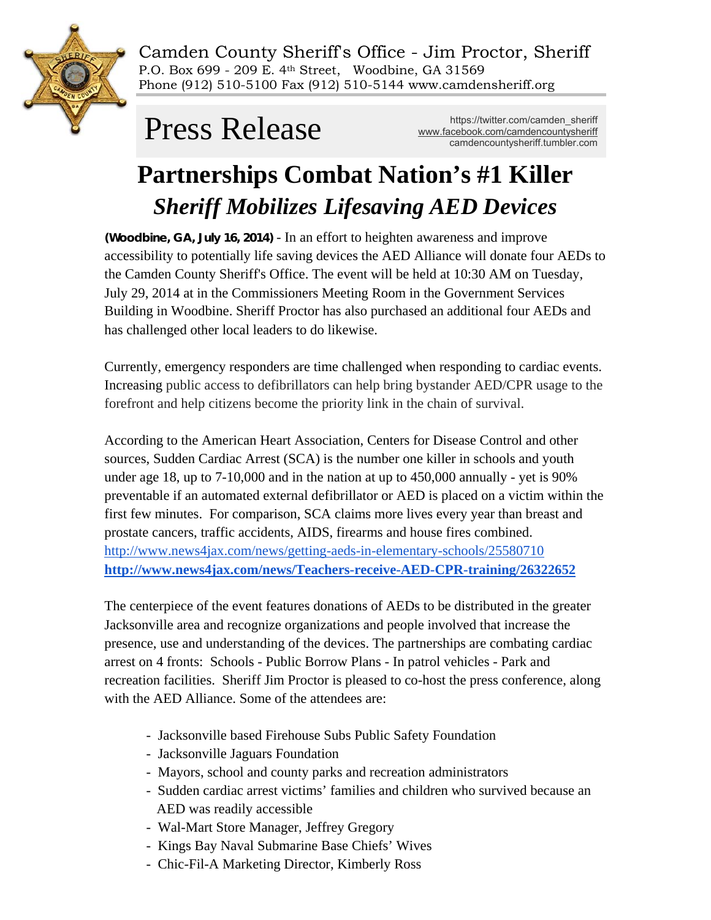

Camden County Sheriff's Office - Jim Proctor, Sheriff P.O. Box 699 - 209 E. 4th Street, Woodbine, GA 31569 Phone (912) 510-5100 Fax (912) 510-5144 www.camdensheriff.org

https://twitter.com/camden\_sheriff **Press Release** Multips://twitter.com/camden\_sheriff<br>
camdencountysheriff.tumbler.com

# **Partnerships Combat Nation's #1 Killer**  *Sheriff Mobilizes Lifesaving AED Devices*

**(Woodbine, GA, July 16, 2014)** - In an effort to heighten awareness and improve accessibility to potentially life saving devices the AED Alliance will donate four AEDs to the Camden County Sheriff's Office. The event will be held at 10:30 AM on Tuesday, July 29, 2014 at in the Commissioners Meeting Room in the Government Services Building in Woodbine. Sheriff Proctor has also purchased an additional four AEDs and has challenged other local leaders to do likewise.

Currently, emergency responders are time challenged when responding to cardiac events. Increasing public access to defibrillators can help bring bystander AED/CPR usage to the forefront and help citizens become the priority link in the chain of survival.

According to the American Heart Association, Centers for Disease Control and other sources, Sudden Cardiac Arrest (SCA) is the number one killer in schools and youth under age 18, up to 7-10,000 and in the nation at up to 450,000 annually - yet is 90% preventable if an automated external defibrillator or AED is placed on a victim within the first few minutes. For comparison, SCA claims more lives every year than breast and prostate cancers, traffic accidents, AIDS, firearms and house fires combined. <http://www.news4jax.com/news/getting-aeds-in-elementary-schools/25580710> **<http://www.news4jax.com/news/Teachers-receive-AED-CPR-training/26322652>**

The centerpiece of the event features donations of AEDs to be distributed in the greater Jacksonville area and recognize organizations and people involved that increase the presence, use and understanding of the devices. The partnerships are combating cardiac arrest on 4 fronts: Schools - Public Borrow Plans - In patrol vehicles - Park and recreation facilities. Sheriff Jim Proctor is pleased to co-host the press conference, along with the AED Alliance. Some of the attendees are:

- Jacksonville based Firehouse Subs Public Safety Foundation
- Jacksonville Jaguars Foundation
- Mayors, school and county parks and recreation administrators
- Sudden cardiac arrest victims' families and children who survived because an AED was readily accessible
- Wal-Mart Store Manager, Jeffrey Gregory
- Kings Bay Naval Submarine Base Chiefs' Wives
- Chic-Fil-A Marketing Director, Kimberly Ross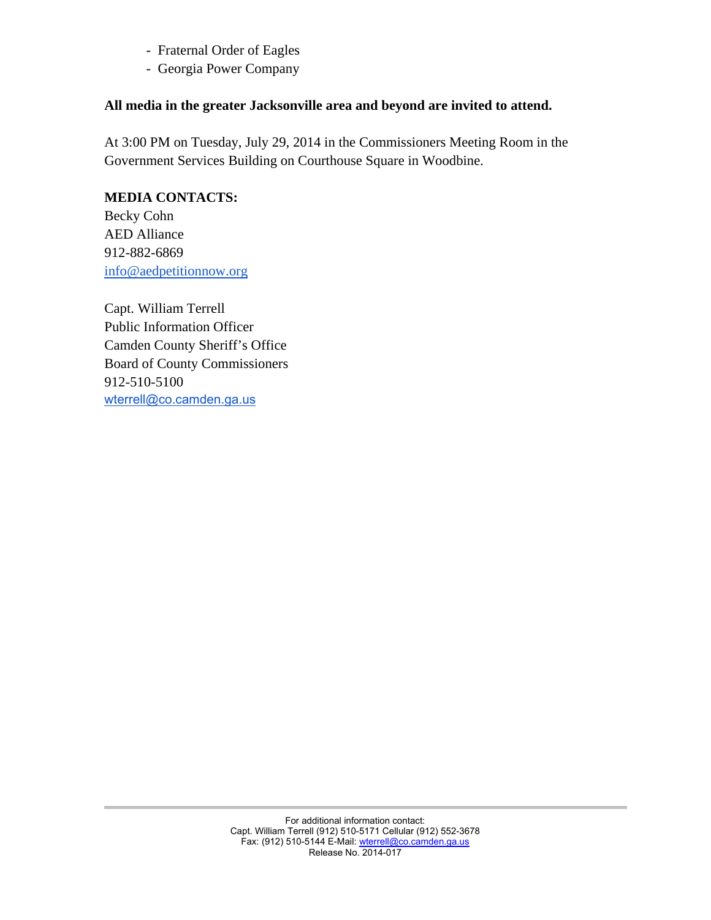- Fraternal Order of Eagles
- Georgia Power Company

#### **All media in the greater Jacksonville area and beyond are invited to attend.**

At 3:00 PM on Tuesday, July 29, 2014 in the Commissioners Meeting Room in the Government Services Building on Courthouse Square in Woodbine.

### **MEDIA CONTACTS:**

Becky Cohn AED Alliance 912-882-6869 [info@aedpetitionnow.org](mailto:info@aedpetitionnow.org)

Capt. William Terrell Public Information Officer Camden County Sheriff's Office Board of County Commissioners 912-510-5100 [wterrell@co.camden.ga.us](mailto:wterrell@co.camden.ga.us)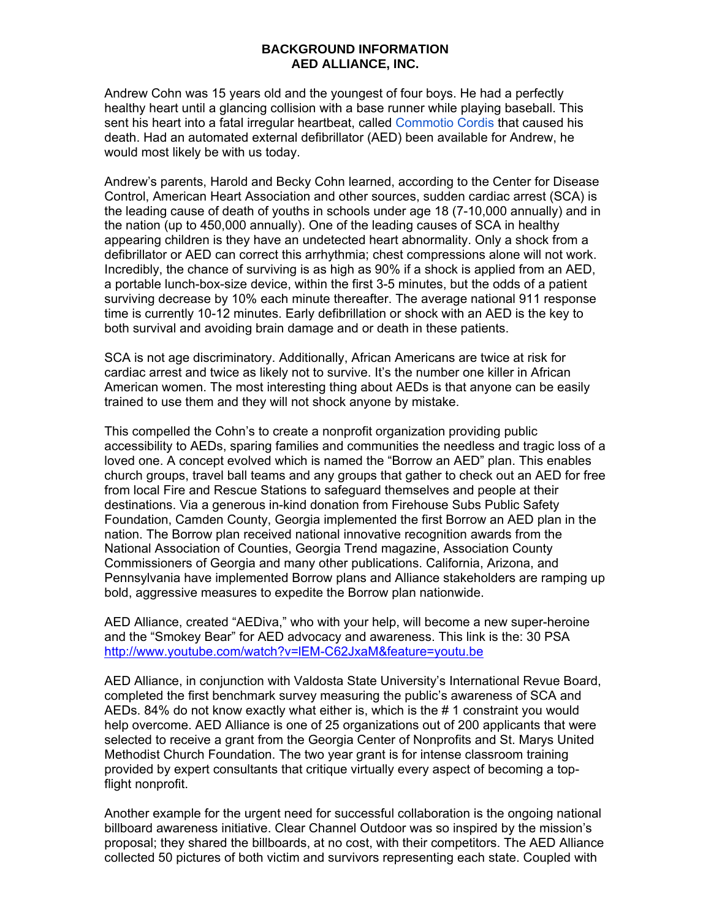#### **BACKGROUND INFORMATION AED ALLIANCE, INC.**

Andrew Cohn was 15 years old and the youngest of four boys. He had a perfectly healthy heart until a glancing collision with a base runner while playing baseball. This sent his heart into a fatal irregular heartbeat, called Commotio Cordis that caused his death. Had an automated external defibrillator (AED) been available for Andrew, he would most likely be with us today.

Andrew's parents, Harold and Becky Cohn learned, according to the Center for Disease Control, American Heart Association and other sources, sudden cardiac arrest (SCA) is the leading cause of death of youths in schools under age 18 (7-10,000 annually) and in the nation (up to 450,000 annually). One of the leading causes of SCA in healthy appearing children is they have an undetected heart abnormality. Only a shock from a defibrillator or AED can correct this arrhythmia; chest compressions alone will not work. Incredibly, the chance of surviving is as high as 90% if a shock is applied from an AED, a portable lunch-box-size device, within the first 3-5 minutes, but the odds of a patient surviving decrease by 10% each minute thereafter. The average national 911 response time is currently 10-12 minutes. Early defibrillation or shock with an AED is the key to both survival and avoiding brain damage and or death in these patients.

SCA is not age discriminatory. Additionally, African Americans are twice at risk for cardiac arrest and twice as likely not to survive. It's the number one killer in African American women. The most interesting thing about AEDs is that anyone can be easily trained to use them and they will not shock anyone by mistake.

This compelled the Cohn's to create a nonprofit organization providing public accessibility to AEDs, sparing families and communities the needless and tragic loss of a loved one. A concept evolved which is named the "Borrow an AED" plan. This enables church groups, travel ball teams and any groups that gather to check out an AED for free from local Fire and Rescue Stations to safeguard themselves and people at their destinations. Via a generous in-kind donation from Firehouse Subs Public Safety Foundation, Camden County, Georgia implemented the first Borrow an AED plan in the nation. The Borrow plan received national innovative recognition awards from the National Association of Counties, Georgia Trend magazine, Association County Commissioners of Georgia and many other publications. California, Arizona, and Pennsylvania have implemented Borrow plans and Alliance stakeholders are ramping up bold, aggressive measures to expedite the Borrow plan nationwide.

AED Alliance, created "AEDiva," who with your help, will become a new super-heroine and the "Smokey Bear" for AED advocacy and awareness. This link is the: 30 PSA <http://www.youtube.com/watch?v=lEM-C62JxaM&feature=youtu.be>

AED Alliance, in conjunction with Valdosta State University's International Revue Board, completed the first benchmark survey measuring the public's awareness of SCA and AEDs. 84% do not know exactly what either is, which is the # 1 constraint you would help overcome. AED Alliance is one of 25 organizations out of 200 applicants that were selected to receive a grant from the Georgia Center of Nonprofits and St. Marys United Methodist Church Foundation. The two year grant is for intense classroom training provided by expert consultants that critique virtually every aspect of becoming a topflight nonprofit.

Another example for the urgent need for successful collaboration is the ongoing national billboard awareness initiative. Clear Channel Outdoor was so inspired by the mission's proposal; they shared the billboards, at no cost, with their competitors. The AED Alliance collected 50 pictures of both victim and survivors representing each state. Coupled with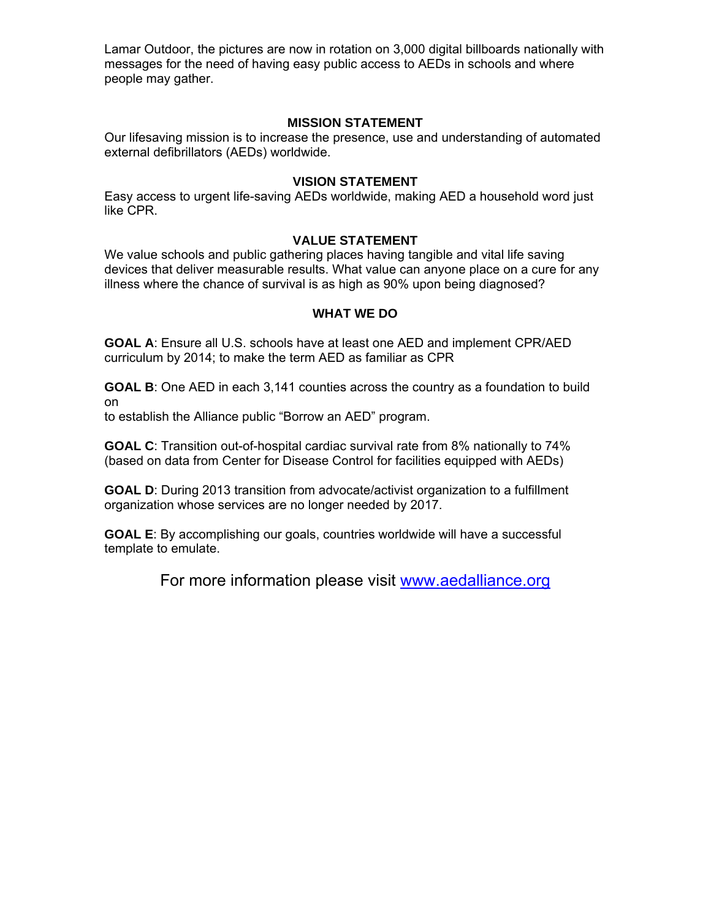Lamar Outdoor, the pictures are now in rotation on 3,000 digital billboards nationally with messages for the need of having easy public access to AEDs in schools and where people may gather.

#### **MISSION STATEMENT**

Our lifesaving mission is to increase the presence, use and understanding of automated external defibrillators (AEDs) worldwide.

#### **VISION STATEMENT**

Easy access to urgent life-saving AEDs worldwide, making AED a household word just like CPR.

#### **VALUE STATEMENT**

We value schools and public gathering places having tangible and vital life saving devices that deliver measurable results. What value can anyone place on a cure for any illness where the chance of survival is as high as 90% upon being diagnosed?

#### **WHAT WE DO**

**GOAL A**: Ensure all U.S. schools have at least one AED and implement CPR/AED curriculum by 2014; to make the term AED as familiar as CPR

**GOAL B**: One AED in each 3,141 counties across the country as a foundation to build on

to establish the Alliance public "Borrow an AED" program.

**GOAL C**: Transition out-of-hospital cardiac survival rate from 8% nationally to 74% (based on data from Center for Disease Control for facilities equipped with AEDs)

**GOAL D**: During 2013 transition from advocate/activist organization to a fulfillment organization whose services are no longer needed by 2017.

**GOAL E**: By accomplishing our goals, countries worldwide will have a successful template to emulate.

For more information please visit [www.aedalliance.org](http://www.aedalliance.org/)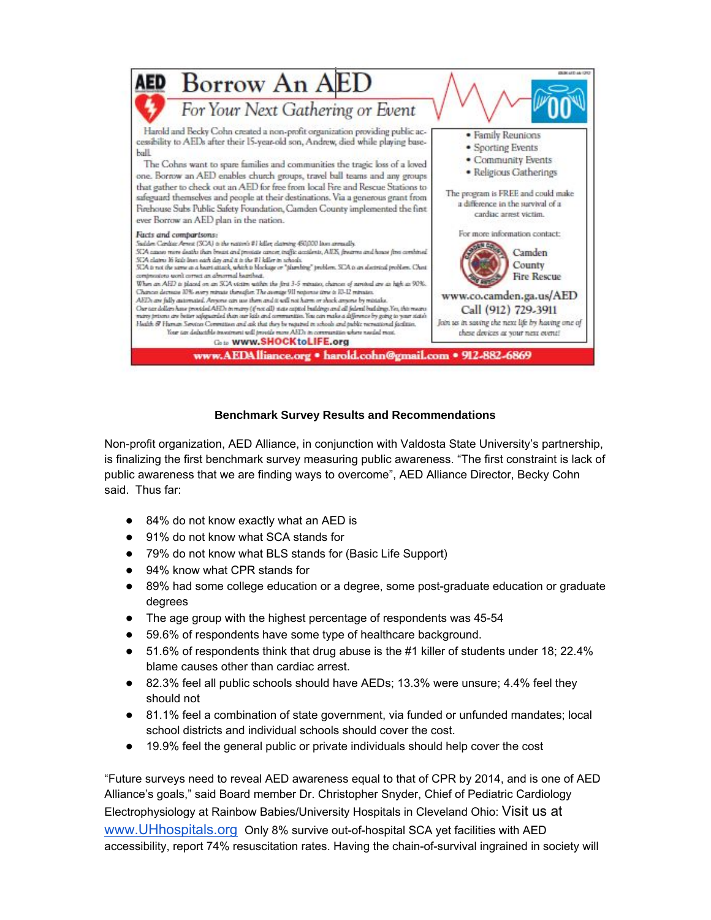

#### **Benchmark Survey Results and Recommendations**

Non-profit organization, AED Alliance, in conjunction with Valdosta State University's partnership, is finalizing the first benchmark survey measuring public awareness. "The first constraint is lack of public awareness that we are finding ways to overcome", AED Alliance Director, Becky Cohn said. Thus far:

- 84% do not know exactly what an AED is
- 91% do not know what SCA stands for
- 79% do not know what BLS stands for (Basic Life Support)
- 94% know what CPR stands for
- 89% had some college education or a degree, some post-graduate education or graduate degrees
- The age group with the highest percentage of respondents was 45-54
- 59.6% of respondents have some type of healthcare background.
- 51.6% of respondents think that drug abuse is the #1 killer of students under 18; 22.4% blame causes other than cardiac arrest.
- 82.3% feel all public schools should have AEDs; 13.3% were unsure; 4.4% feel they should not
- 81.1% feel a combination of state government, via funded or unfunded mandates; local school districts and individual schools should cover the cost.
- 19.9% feel the general public or private individuals should help cover the cost

"Future surveys need to reveal AED awareness equal to that of CPR by 2014, and is one of AED Alliance's goals," said Board member Dr. Christopher Snyder, Chief of Pediatric Cardiology Electrophysiology at Rainbow Babies/University Hospitals in Cleveland Ohio: Visit us a[t](http://www.uhhospitals.org/) [www.UHhospitals.org](http://www.uhhospitals.org/) Only 8% survive out-of-hospital SCA yet facilities with AED accessibility, report 74% resuscitation rates. Having the chain-of-survival ingrained in society will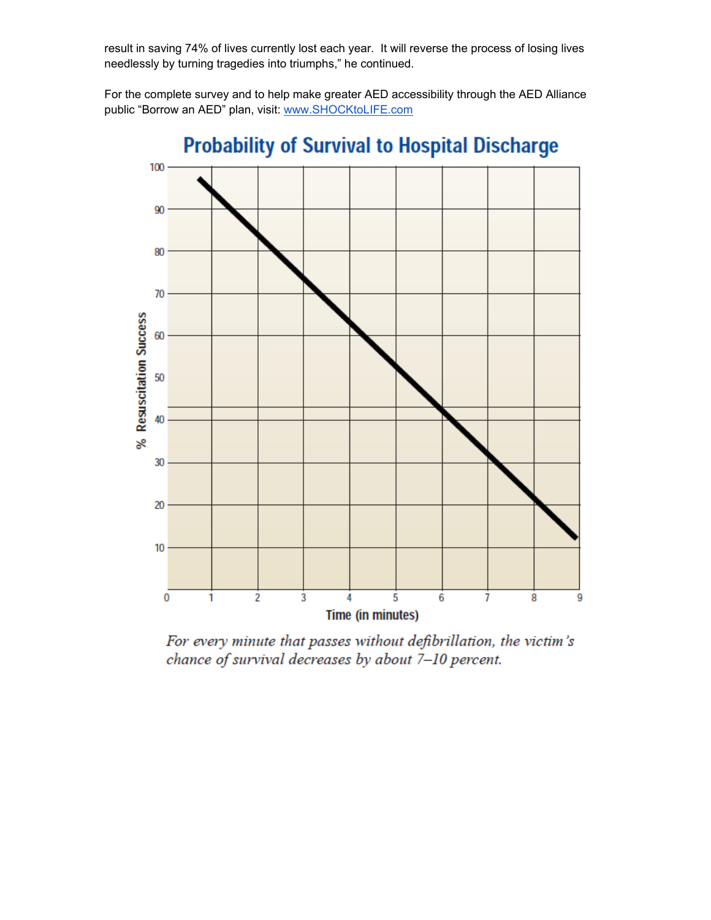result in saving 74% of lives currently lost each year. It will reverse the process of losing lives needlessly by turning tragedies into triumphs," he continued.

For the complete survey and to help make greater AED accessibility through the AED Alliance public "Borrow an AED" plan, visit: [www.SHOCKtoLIFE.com](http://www.shocktolife.com/)



For every minute that passes without defibrillation, the victim's chance of survival decreases by about 7-10 percent.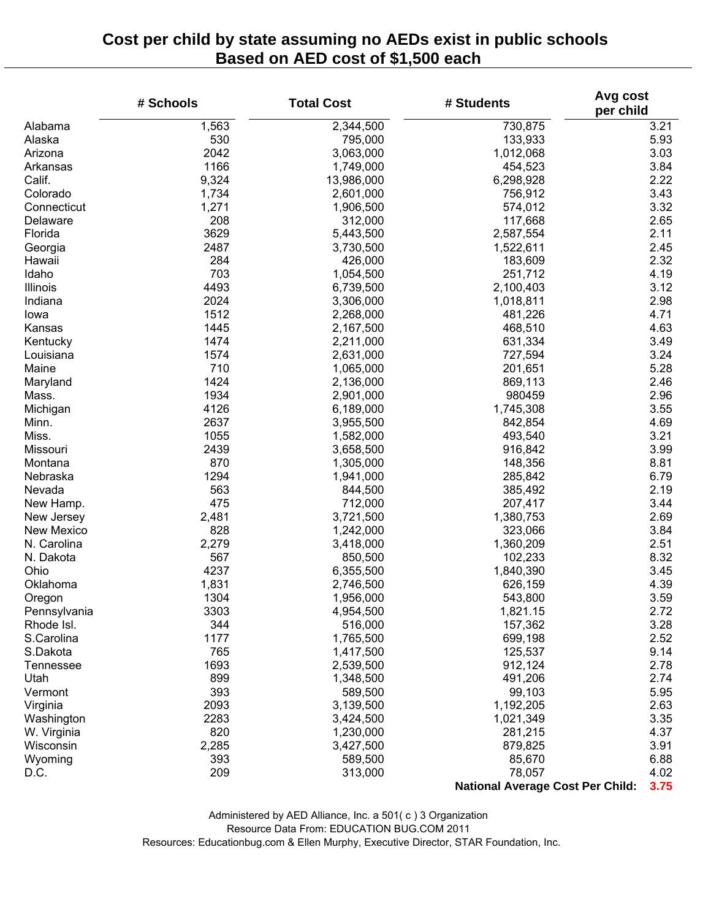## **Cost per child by state assuming no AEDs exist in public schools Based on AED cost of \$1,500 each**

|              | # Schools | <b>Total Cost</b> | Avg cost<br># Students<br>per child     |      |
|--------------|-----------|-------------------|-----------------------------------------|------|
| Alabama      | 1,563     | 2,344,500         | 730,875                                 | 3.21 |
| Alaska       | 530       | 795,000           | 133,933                                 | 5.93 |
| Arizona      | 2042      | 3,063,000         | 1,012,068                               | 3.03 |
| Arkansas     | 1166      | 1,749,000         | 454,523                                 | 3.84 |
| Calif.       | 9,324     | 13,986,000        | 6,298,928                               | 2.22 |
| Colorado     | 1,734     | 2,601,000         | 756,912                                 | 3.43 |
| Connecticut  | 1,271     | 1,906,500         | 574,012                                 | 3.32 |
| Delaware     | 208       | 312,000           | 117,668                                 | 2.65 |
| Florida      | 3629      | 5,443,500         | 2,587,554                               | 2.11 |
| Georgia      | 2487      | 3,730,500         | 1,522,611                               | 2.45 |
| Hawaii       | 284       | 426,000           | 183,609                                 | 2.32 |
| Idaho        | 703       | 1,054,500         | 251,712                                 | 4.19 |
| Illinois     | 4493      | 6,739,500         | 2,100,403                               | 3.12 |
| Indiana      | 2024      | 3,306,000         | 1,018,811                               | 2.98 |
| lowa         | 1512      | 2,268,000         | 481,226                                 | 4.71 |
| Kansas       | 1445      | 2,167,500         | 468,510                                 | 4.63 |
| Kentucky     | 1474      | 2,211,000         | 631,334                                 | 3.49 |
| Louisiana    | 1574      | 2,631,000         | 727,594                                 | 3.24 |
| Maine        | 710       | 1,065,000         | 201,651                                 | 5.28 |
| Maryland     | 1424      | 2,136,000         | 869,113                                 | 2.46 |
| Mass.        | 1934      | 2,901,000         | 980459                                  | 2.96 |
| Michigan     | 4126      | 6,189,000         | 1,745,308                               | 3.55 |
| Minn.        | 2637      | 3,955,500         | 842,854                                 | 4.69 |
| Miss.        | 1055      | 1,582,000         | 493,540                                 | 3.21 |
| Missouri     | 2439      | 3,658,500         | 916,842                                 | 3.99 |
| Montana      | 870       | 1,305,000         | 148,356                                 | 8.81 |
| Nebraska     | 1294      | 1,941,000         | 285,842                                 | 6.79 |
| Nevada       | 563       | 844,500           | 385,492                                 | 2.19 |
| New Hamp.    | 475       | 712,000           | 207,417                                 | 3.44 |
| New Jersey   | 2,481     | 3,721,500         | 1,380,753                               | 2.69 |
| New Mexico   | 828       | 1,242,000         | 323,066                                 | 3.84 |
| N. Carolina  | 2,279     | 3,418,000         | 1,360,209                               | 2.51 |
| N. Dakota    | 567       | 850,500           | 102,233                                 | 8.32 |
| Ohio         | 4237      | 6,355,500         | 1,840,390                               | 3.45 |
| Oklahoma     | 1,831     | 2,746,500         | 626,159                                 | 4.39 |
| Oregon       | 1304      | 1,956,000         | 543,800                                 | 3.59 |
| Pennsylvania | 3303      | 4,954,500         | 1,821.15                                | 2.72 |
| Rhode Isl.   | 344       | 516,000           | 157,362                                 | 3.28 |
| S.Carolina   | 1177      | 1,765,500         | 699,198                                 | 2.52 |
| S.Dakota     | 765       | 1,417,500         | 125,537                                 | 9.14 |
| Tennessee    | 1693      | 2,539,500         | 912,124                                 | 2.78 |
| Utah         | 899       | 1,348,500         | 491,206                                 | 2.74 |
| Vermont      | 393       | 589,500           | 99,103                                  | 5.95 |
| Virginia     | 2093      | 3,139,500         | 1,192,205                               | 2.63 |
| Washington   | 2283      | 3,424,500         | 1,021,349                               | 3.35 |
| W. Virginia  | 820       | 1,230,000         | 281,215                                 | 4.37 |
| Wisconsin    | 2,285     | 3,427,500         | 879,825                                 | 3.91 |
| Wyoming      | 393       | 589,500           | 85,670                                  | 6.88 |
| D.C.         | 209       | 313,000           | 78,057                                  | 4.02 |
|              |           |                   | <b>National Average Cost Per Child:</b> | 3.75 |

Administered by AED Alliance, Inc. a 501( c ) 3 Organization Resource Data From: EDUCATION BUG.COM 2011 Resources: Educationbug.com & Ellen Murphy, Executive Director, STAR Foundation, Inc.